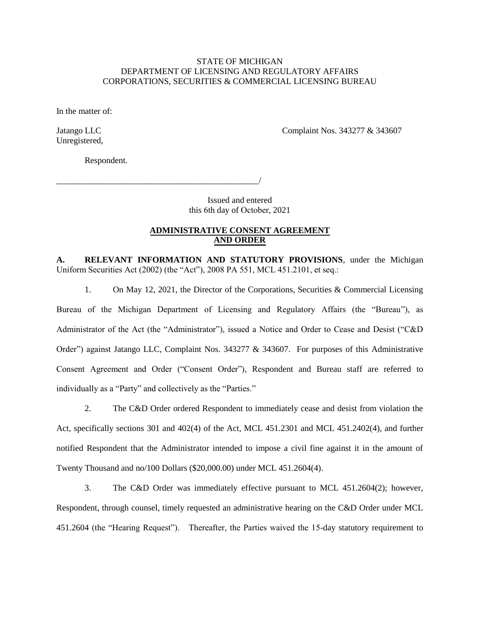#### STATE OF MICHIGAN DEPARTMENT OF LICENSING AND REGULATORY AFFAIRS CORPORATIONS, SECURITIES & COMMERCIAL LICENSING BUREAU

In the matter of:

Unregistered,

Jatango LLC **Complaint Nos. 343277** & 343607

Respondent.

\_\_\_\_\_\_\_\_\_\_\_\_\_\_\_\_\_\_\_\_\_\_\_\_\_\_\_\_\_\_\_\_\_\_\_\_\_\_\_\_\_\_\_\_\_\_\_/

Issued and entered this 6th day of October, 2021

#### **ADMINISTRATIVE CONSENT AGREEMENT AND ORDER**

**A. RELEVANT INFORMATION AND STATUTORY PROVISIONS**, under the Michigan Uniform Securities Act (2002) (the "Act"), 2008 PA 551, MCL 451.2101, et seq.:

1. On May 12, 2021, the Director of the Corporations, Securities & Commercial Licensing Bureau of the Michigan Department of Licensing and Regulatory Affairs (the "Bureau"), as Administrator of the Act (the "Administrator"), issued a Notice and Order to Cease and Desist ("C&D Order") against Jatango LLC, Complaint Nos. 343277 & 343607. For purposes of this Administrative Consent Agreement and Order ("Consent Order"), Respondent and Bureau staff are referred to individually as a "Party" and collectively as the "Parties."

2. The C&D Order ordered Respondent to immediately cease and desist from violation the Act, specifically sections 301 and 402(4) of the Act, MCL 451.2301 and MCL 451.2402(4), and further notified Respondent that the Administrator intended to impose a civil fine against it in the amount of Twenty Thousand and no/100 Dollars (\$20,000.00) under MCL 451.2604(4).

3. The C&D Order was immediately effective pursuant to MCL 451.2604(2); however, Respondent, through counsel, timely requested an administrative hearing on the C&D Order under MCL 451.2604 (the "Hearing Request"). Thereafter, the Parties waived the 15-day statutory requirement to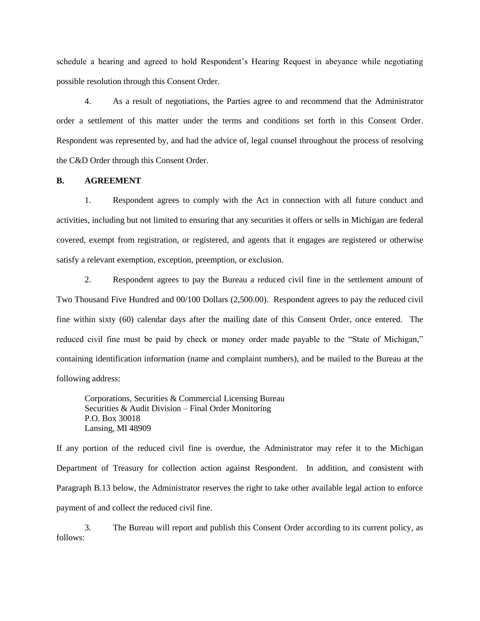schedule a hearing and agreed to hold Respondent's Hearing Request in abeyance while negotiating possible resolution through this Consent Order.

4. As a result of negotiations, the Parties agree to and recommend that the Administrator order a settlement of this matter under the terms and conditions set forth in this Consent Order. Respondent was represented by, and had the advice of, legal counsel throughout the process of resolving the C&D Order through this Consent Order.

#### **B. AGREEMENT**

1. Respondent agrees to comply with the Act in connection with all future conduct and activities, including but not limited to ensuring that any securities it offers or sells in Michigan are federal covered, exempt from registration, or registered, and agents that it engages are registered or otherwise satisfy a relevant exemption, exception, preemption, or exclusion.

2. Respondent agrees to pay the Bureau a reduced civil fine in the settlement amount of Two Thousand Five Hundred and 00/100 Dollars (2,500.00). Respondent agrees to pay the reduced civil fine within sixty (60) calendar days after the mailing date of this Consent Order, once entered. The reduced civil fine must be paid by check or money order made payable to the "State of Michigan," containing identification information (name and complaint numbers), and be mailed to the Bureau at the following address:

Corporations, Securities & Commercial Licensing Bureau Securities & Audit Division – Final Order Monitoring P.O. Box 30018 Lansing, MI 48909

If any portion of the reduced civil fine is overdue, the Administrator may refer it to the Michigan Department of Treasury for collection action against Respondent. In addition, and consistent with Paragraph B.13 below, the Administrator reserves the right to take other available legal action to enforce payment of and collect the reduced civil fine.

3. The Bureau will report and publish this Consent Order according to its current policy, as follows: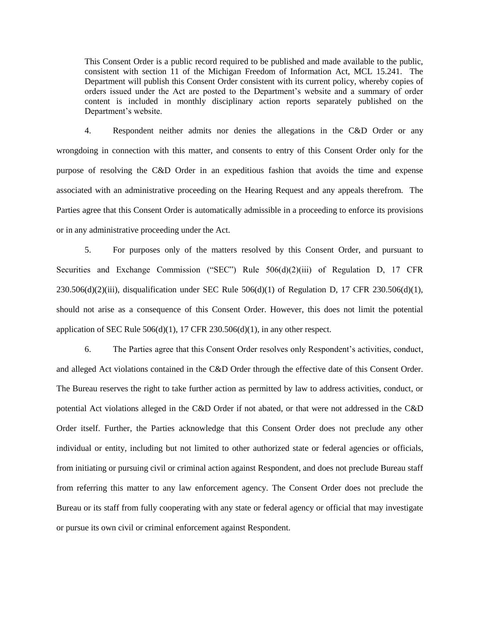This Consent Order is a public record required to be published and made available to the public, consistent with section 11 of the Michigan Freedom of Information Act, MCL 15.241. The Department will publish this Consent Order consistent with its current policy, whereby copies of orders issued under the Act are posted to the Department's website and a summary of order content is included in monthly disciplinary action reports separately published on the Department's website.

4. Respondent neither admits nor denies the allegations in the C&D Order or any wrongdoing in connection with this matter, and consents to entry of this Consent Order only for the purpose of resolving the C&D Order in an expeditious fashion that avoids the time and expense associated with an administrative proceeding on the Hearing Request and any appeals therefrom. The Parties agree that this Consent Order is automatically admissible in a proceeding to enforce its provisions or in any administrative proceeding under the Act.

5. For purposes only of the matters resolved by this Consent Order, and pursuant to Securities and Exchange Commission ("SEC") Rule  $506(d)(2)(iii)$  of Regulation D, 17 CFR  $230.506(d)(2)(iii)$ , disqualification under SEC Rule  $506(d)(1)$  of Regulation D, 17 CFR  $230.506(d)(1)$ , should not arise as a consequence of this Consent Order. However, this does not limit the potential application of SEC Rule  $506(d)(1)$ , 17 CFR 230.506(d)(1), in any other respect.

6. The Parties agree that this Consent Order resolves only Respondent's activities, conduct, and alleged Act violations contained in the C&D Order through the effective date of this Consent Order. The Bureau reserves the right to take further action as permitted by law to address activities, conduct, or potential Act violations alleged in the C&D Order if not abated, or that were not addressed in the C&D Order itself. Further, the Parties acknowledge that this Consent Order does not preclude any other individual or entity, including but not limited to other authorized state or federal agencies or officials, from initiating or pursuing civil or criminal action against Respondent, and does not preclude Bureau staff from referring this matter to any law enforcement agency. The Consent Order does not preclude the Bureau or its staff from fully cooperating with any state or federal agency or official that may investigate or pursue its own civil or criminal enforcement against Respondent.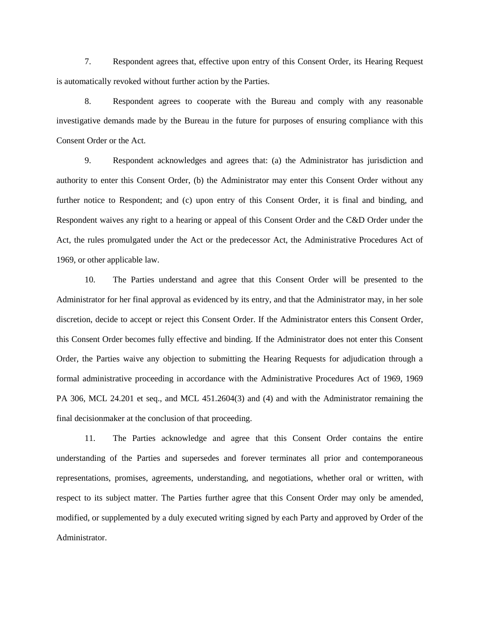7. Respondent agrees that, effective upon entry of this Consent Order, its Hearing Request is automatically revoked without further action by the Parties.

8. Respondent agrees to cooperate with the Bureau and comply with any reasonable investigative demands made by the Bureau in the future for purposes of ensuring compliance with this Consent Order or the Act.

9. Respondent acknowledges and agrees that: (a) the Administrator has jurisdiction and authority to enter this Consent Order, (b) the Administrator may enter this Consent Order without any further notice to Respondent; and (c) upon entry of this Consent Order, it is final and binding, and Respondent waives any right to a hearing or appeal of this Consent Order and the C&D Order under the Act, the rules promulgated under the Act or the predecessor Act, the Administrative Procedures Act of 1969, or other applicable law.

10. The Parties understand and agree that this Consent Order will be presented to the Administrator for her final approval as evidenced by its entry, and that the Administrator may, in her sole discretion, decide to accept or reject this Consent Order. If the Administrator enters this Consent Order, this Consent Order becomes fully effective and binding. If the Administrator does not enter this Consent Order, the Parties waive any objection to submitting the Hearing Requests for adjudication through a formal administrative proceeding in accordance with the Administrative Procedures Act of 1969, 1969 PA 306, MCL 24.201 et seq., and MCL 451.2604(3) and (4) and with the Administrator remaining the final decisionmaker at the conclusion of that proceeding.

11. The Parties acknowledge and agree that this Consent Order contains the entire understanding of the Parties and supersedes and forever terminates all prior and contemporaneous representations, promises, agreements, understanding, and negotiations, whether oral or written, with respect to its subject matter. The Parties further agree that this Consent Order may only be amended, modified, or supplemented by a duly executed writing signed by each Party and approved by Order of the Administrator.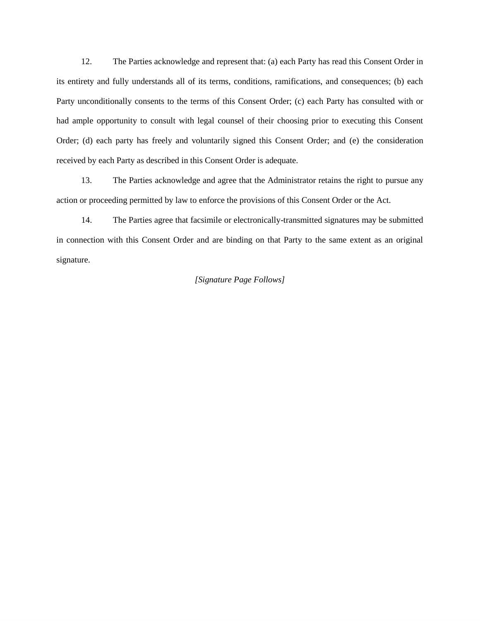12. The Parties acknowledge and represent that: (a) each Party has read this Consent Order in its entirety and fully understands all of its terms, conditions, ramifications, and consequences; (b) each Party unconditionally consents to the terms of this Consent Order; (c) each Party has consulted with or had ample opportunity to consult with legal counsel of their choosing prior to executing this Consent Order; (d) each party has freely and voluntarily signed this Consent Order; and (e) the consideration received by each Party as described in this Consent Order is adequate.

13. The Parties acknowledge and agree that the Administrator retains the right to pursue any action or proceeding permitted by law to enforce the provisions of this Consent Order or the Act.

14. The Parties agree that facsimile or electronically-transmitted signatures may be submitted in connection with this Consent Order and are binding on that Party to the same extent as an original signature.

#### *[Signature Page Follows]*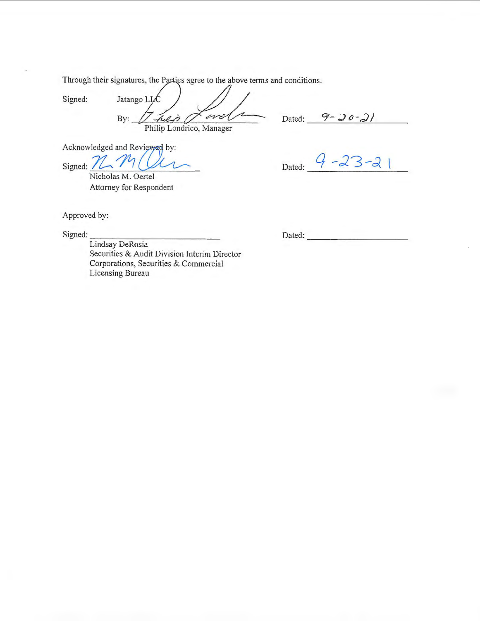Through their signatures, the Parties agree to the above terms and conditions.

Jatango LL Signed: men -Ful is By: Philip Londrico, Manager Philip Londrico, Manager<br>viewed by:<br>Control

Dated: 9 - 20 - 21

Acknowledged and Reviewed by:

Signed:  $\angle$ N icholas  $-$ *M*  $\frac{1}{2}$ <br>is M. Oertel Attorney for Respondent

 $Dated:$   $9 - 23 - 21$ 

Approved by:

 $Signed:$ 

Dated:  $\blacksquare$ 

Lindsay DeRosia Securities & Audit Division Interim Director Corporations, Securities & Commercial Licensing Bureau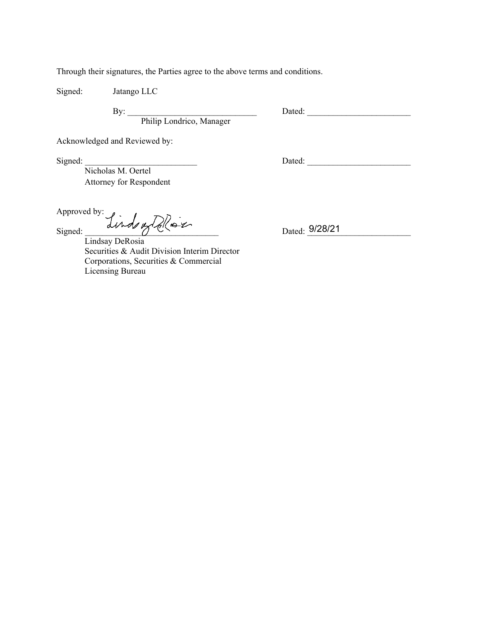Through their signatures, the Parties agree to the above terms and conditions.

Signed: Jatango LLC

By: \_\_\_\_\_\_\_\_\_\_\_\_\_\_\_\_\_\_\_\_\_\_\_\_\_\_\_\_\_\_ Dated: \_\_\_\_\_\_\_\_\_\_\_\_\_\_\_\_\_\_\_\_\_\_\_\_

Philip Londrico, Manager

Acknowledged and Reviewed by:

Signed:  $\Box$ 

Nicholas M. Oertel Attorney for Respondent

Approved by:

Signed: \_\_\_\_\_\_\_\_\_\_\_\_\_\_\_\_\_\_\_\_\_\_\_\_\_\_\_\_\_\_\_ Dated: \_\_\_\_\_\_\_\_\_\_\_\_\_\_\_\_\_\_\_\_\_\_\_\_ Lindsay DeRosia

Securities & Audit Division Interim Director Corporations, Securities & Commercial Licensing Bureau

Dated: 9/28/21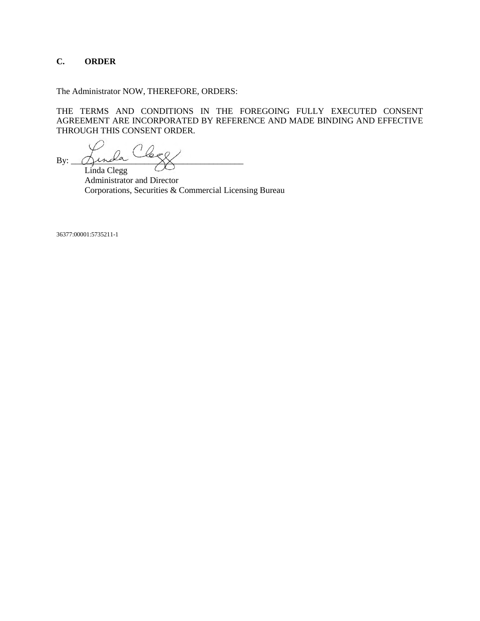## **C. ORDER**

The Administrator NOW, THEREFORE, ORDERS:

THE TERMS AND CONDITIONS IN THE FOREGOING FULLY EXECUTED CONSENT AGREEMENT ARE INCORPORATED BY REFERENCE AND MADE BINDING AND EFFECTIVE THROUGH THIS CONSENT ORDER.

By:  $\Delta$ inda  $\overrightarrow{X}$ Linda Clegg

Administrator and Director Corporations, Securities & Commercial Licensing Bureau

36377:00001:5735211-1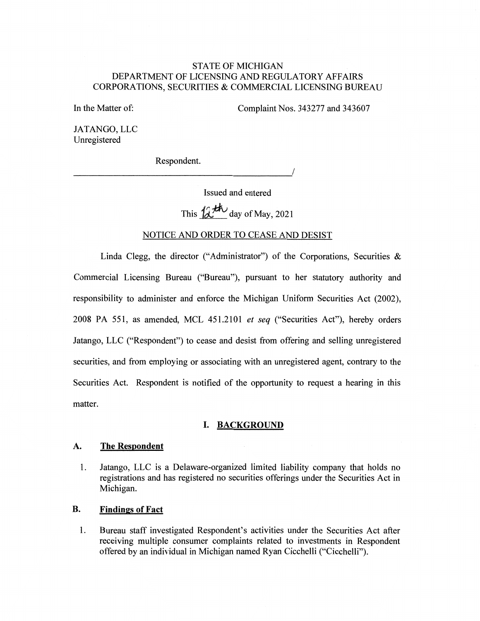## STATE OF MICHIGAN DEPARTMENT OF LICENSING AND REGULATORY AFFAIRS CORPORATIONS, SECURITIES & COMMERCIAL LICENSING BUREAU

In the Matter of:

Complaint Nos. 343277 and 343607

JATANGO, LLC Unregistered

Respondent.

-----------------------'/

Issued and entered

This  $12$ <sup>th</sup> day of May, 2021

#### NOTICE AND ORDER TO CEASE AND DESIST

Linda Clegg, the director ("Administrator") of the Corporations, Securities & Commercial Licensing Bureau ("Bureau"), pursuant to her statutory authority and responsibility to administer and enforce the Michigan Uniform Securities Act (2002), 2008 PA 551, as amended, MCL 451.2101 *et seq* ("Securities Act"), hereby orders Jatango, LLC ("Respondent") to cease and desist from offering and selling unregistered securities, and from employing or associating with an unregistered agent, contrary to the Securities Act. Respondent is notified of the opportunity to request a hearing in this matter.

#### **I. BACKGROUND**

#### **A. The Respondent**

1. Jatango, LLC is a Delaware-organized limited liability company that holds no registrations and has registered no securities offerings under the Securities Act in Michigan.

### **B. Findings of Fact**

1. Bureau staff investigated Respondent's activities under the Securities Act after receiving multiple consumer complaints related to investments in Respondent offered by an individual in Michigan named Ryan Cicchelli ("Cicchelli").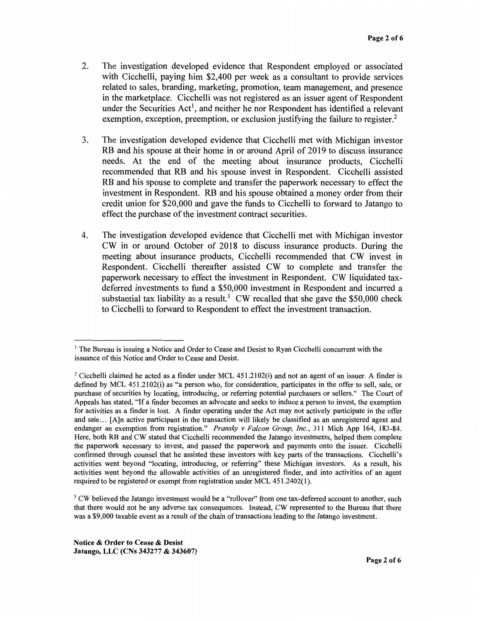- 2. The investigation developed evidence that Respondent employed or associated with Cicchelli, paying him \$2,400 per week as a consultant to provide services related to sales, branding, marketing, promotion, team management, and presence in the marketplace. Cicchelli was not registered as an issuer agent of Respondent under the Securities  $Act^1$ , and neither he nor Respondent has identified a relevant exemption, exception, preemption, or exclusion justifying the failure to register.<sup>2</sup>
- 3. The investigation developed evidence that Cicchelli met with Michigan investor RB and his spouse at their home in or around April of 2019 to discuss insurance needs. At the end of the meeting about insurance products, Cicchelli recommended that RB and his spouse invest in Respondent. Cicchelli assisted RB and his spouse to complete and transfer the paperwork necessary to effect the investment in Respondent. RB and his spouse obtained a money order from their credit union for \$20,000 and gave the funds to Cicchelli to forward to Jatango to effect the purchase of the investment contract securities.
- 4. The investigation developed evidence that Cicchelli met with Michigan investor CW in or around October of 2018 to discuss insurance products. During the meeting about insurance products, Cicchelli recommended that CW invest in Respondent. Cicchelli thereafter assisted CW to complete and transfer the paperwork necessary to effect the investment in Respondent. CW liquidated taxdeferred investments to fund a \$50,000 investment in Respondent and incurred a substantial tax liability as a result.<sup>3</sup> CW recalled that she gave the \$50,000 check to Cicchelli to forward to Respondent to effect the investment transaction.

<sup>3</sup> CW believed the Jatango investment would be a "rollover" from one tax-deferred account to another, such that there would not be any adverse tax consequences. Instead, CW represented to the Bureau that there was a \$9,000 taxable event as a result of the chain of transactions leading to the Jatango investment.

<sup>&</sup>lt;sup>1</sup> The Bureau is issuing a Notice and Order to Cease and Desist to Ryan Cicchelli concurrent with the issuance of this Notice and Order to Cease and Desist.

<sup>&</sup>lt;sup>2</sup> Cicchelli claimed he acted as a finder under MCL 451.2102(i) and not an agent of an issuer. A finder is defined by MCL 451.2102(i) as "a person who, for consideration, participates in the offer to sell, sale, or purchase of securities by locating, introducing, or referring potential purchasers or sellers." The Court of Appeals has stated, "If a finder becomes an advocate and seeks to induce a person to invest, the exemption for activities as a finder is lost. A finder operating under the Act may not actively participate in the offer and sale ... [A]n active participant in the transaction will likely be classified as an unregistered agent and endanger an exemption from registration." *Pransky v Falcon Group, Inc.,* 311 Mich App 164, 183-84. Here, both RB and CW stated that Cicchelli recommended the Jatango investments, helped them complete the paperwork necessary to invest, and passed the paperwork and payments onto the issuer. Cicchelli confirmed through counsel that he assisted these investors with key parts of the transactions. Cicchelli's activities went beyond "locating, introducing, or referring" these Michigan investors. As a result, his activities went beyond the allowable activities of an unregistered finder, and into activities of an agent required to be registered or exempt from registration under MCL 451.2402(1 ).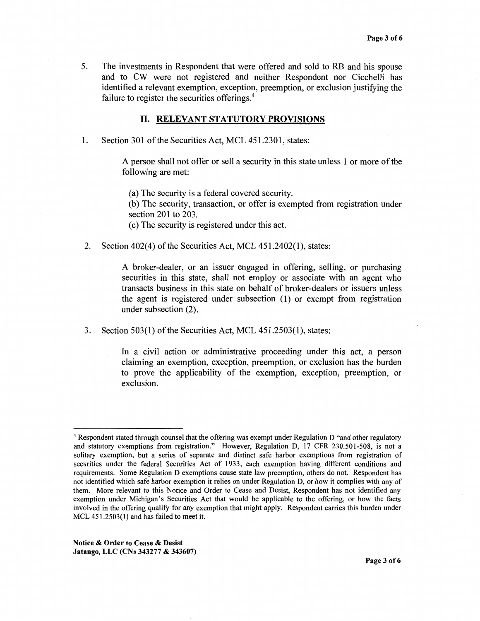5. The investments in Respondent that were offered and sold to RB and his spouse and to CW were not registered and neither Respondent nor Cicchelli has identified a relevant exemption, exception, preemption, or exclusion justifying the failure to register the securities offerings.<sup>4</sup>

#### II. **RELEVANT STATUTORY PROVISIONS**

1. Section 301 of the Securities Act, MCL 451.2301, states:

A person shall not offer or sell a security in this state unless 1 or more of the following are met:

(a) The security is a federal covered security.

(b) The security, transaction, or offer is exempted from registration under section 201 to 203.

( c) The security is registered under this act.

2. Section 402(4) of the Securities Act, MCL 451.2402(1), states:

A broker-dealer, or an issuer engaged in offering, selling, or purchasing securities in this state, shall not employ or associate with an agent who transacts business in this state on behalf of broker-dealers or issuers unless the agent is registered under subsection (1) or exempt from registration under subsection (2).

3. Section 503(1) of the Securities Act, MCL 451.2503(1), states:

In a civil action or administrative proceeding under this act, a person claiming an exemption, exception, preemption, or exclusion has the burden to prove the applicability of the exemption, exception, preemption, or exclusion.

<sup>4</sup>Respondent stated through counsel that the offering was exempt under Regulation D "and other regulatory and statutory exemptions from registration." However, Regulation D, 17 CFR 230.501-508, is not a solitary exemption, but a series of separate and distinct safe harbor exemptions from registration of securities under the federal Securities Act of 1933, each exemption having different conditions and requirements. Some Regulation D exemptions cause state law preemption, others do not. Respondent has not identified which safe harbor exemption it relies on under Regulation D, or how it complies with any of them. More relevant to this Notice and Order to Cease and Desist, Respondent has not identified any exemption under Michigan's Securities Act that would be applicable to the offering, or how the facts involved in the offering qualify for any exemption that might apply. Respondent carries this burden under MCL 451.2503(1) and has failed to meet it.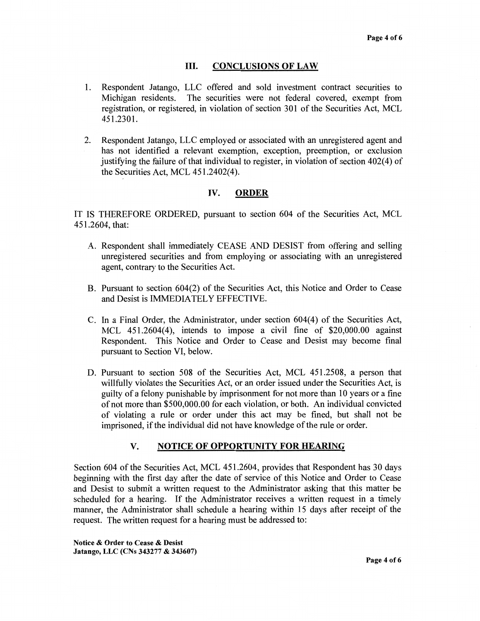### III. **CONCLUSIONS OF LAW**

- 1. Respondent Jatango, LLC offered and sold investment contract securities to Michigan residents. The securities were not federal covered, exempt from registration, or registered, in violation of section 301 of the Securities Act, MCL 451.2301.
- 2. Respondent Jatango, LLC employed or associated with an unregistered agent and has not identified a relevant exemption, exception, preemption, or exclusion justifying the failure of that individual to register, in violation of section  $402(4)$  of the Securities Act, MCL 451.2402(4).

## **IV. ORDER**

IT IS THEREFORE ORDERED, pursuant to section 604 of the Securities Act, MCL 451.2604, that:

- A. Respondent shall immediately CEASE AND DESIST from offering and selling unregistered securities and from employing or associating with an unregistered agent, contrary to the Securities Act.
- B. Pursuant to section 604(2) of the Securities Act, this Notice and Order to Cease and Desist is IMMEDIATELY EFFECTIVE.
- C. In a Final Order, the Administrator, under section 604(4) of the Securities Act, MCL 451.2604(4), intends to impose a civil fine of \$20,000.00 against Respondent. This Notice and Order to Cease and Desist may become final pursuant to Section VI, below.
- D. Pursuant to section 508 of the Securities Act, MCL 451.2508, a person that willfully violates the Securities Act, or an order issued under the Securities Act, is guilty of a felony punishable by imprisonment for not more than 10 years or a fine of not more than \$500,000.00 for each violation, or both. An individual convicted of violating a rule or order under this act may be fined, but shall not be imprisoned, if the individual did not have knowledge of the rule or order.

# **V. NOTICE OF OPPORTUNITY FOR HEARING**

Section 604 of the Securities Act, MCL 451.2604, provides that Respondent has 30 days beginning with the first day after the date of service of this Notice and Order to Cease and Desist to submit a written request to the Administrator asking that this matter be scheduled for a hearing. If the Administrator receives a written request in a timely manner, the Administrator shall schedule a hearing within 15 days after receipt of the request. The written request for a hearing must be addressed to: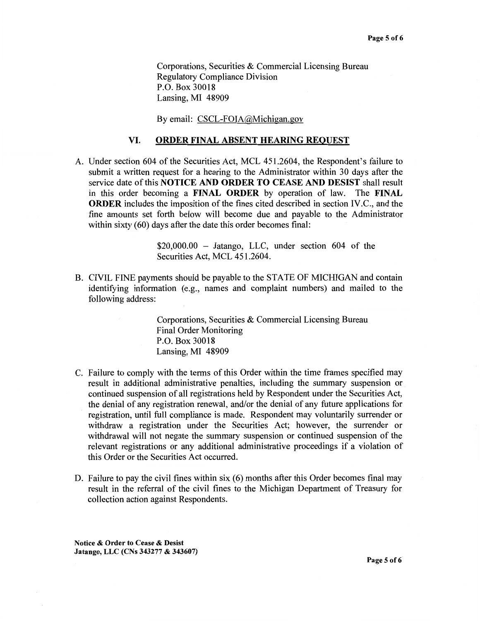Corporations, Securities & Commercial Licensing Bureau Regulatory Compliance Division P.O. Box 30018 Lansing, MI 48909

By email: CSCL-FOIA@Michigan.gov

#### **VI. ORDER FINAL ABSENT HEARING REQUEST**

A. Under section 604 of the Securities Act, MCL 451.2604, the Respondent's failure to submit a written request for a hearing to the Administrator within 30 days after the service date of this **NOTICE AND ORDER TO CEASE AND DESIST** shall result in this order becoming a **FINAL ORDER** by operation of law. The **FINAL ORDER** includes the imposition of the fines cited described in section IV.C., and the fine amounts set forth below will become due and payable to the Administrator within sixty (60) days after the date this order becomes final:

> \$20,000.00 - Jatango, LLC, under section 604 of the Securities Act, MCL 451.2604.

B. CIVIL FINE payments should be payable to the STATE OF MICHIGAN and contain identifying information (e.g., names and complaint numbers) and mailed to the following address:

> Corporations, Securities & Commercial Licensing Bureau Final Order Monitoring P.O. Box 30018 Lansing, MI 48909

- C. Failure to comply with the terms of this Order within the time frames specified may result in additional administrative penalties, including the summary suspension or continued suspension of all registrations held by Respondent under the Securities Act, the denial of any registration renewal, and/or the denial of any future applications for registration, until full compliance is made. Respondent may voluntarily surrender or withdraw a registration under the Securities Act; however, the surrender or withdrawal will not negate the summary suspension or continued suspension of the relevant registrations or any additional administrative proceedings if a violation of this Order or the Securities Act occurred.
- D. Failure to pay the civil fines within six (6) months after this Order becomes final may result in the referral of the civil fines to the Michigan Department of Treasury for collection action against Respondents.